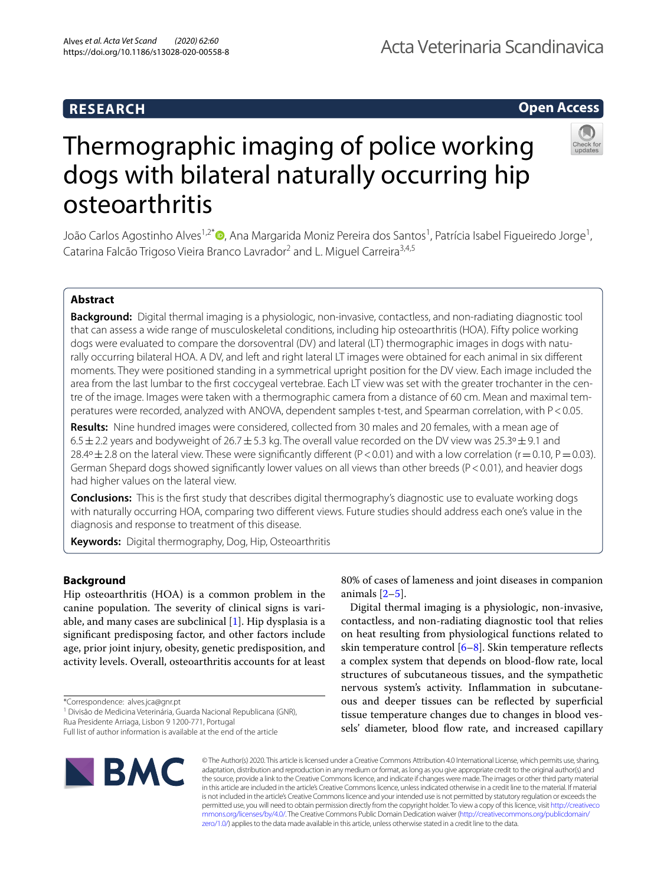## **RESEARCH**

# Acta Veterinaria Scandinavica

**Open Access**



# Thermographic imaging of police working dogs with bilateral naturally occurring hip osteoarthritis

João Carlos Agostinho Alves<sup>1,2\*</sup>®[,](https://orcid.org/0000-0002-1329-3709) Ana Margarida Moniz Pereira dos Santos<sup>1</sup>, Patrícia Isabel Figueiredo Jorge<sup>1</sup>, Catarina Falcão Trigoso Vieira Branco Lavrador<sup>2</sup> and L. Miguel Carreira<sup>3,4,5</sup>

## **Abstract**

**Background:** Digital thermal imaging is a physiologic, non-invasive, contactless, and non-radiating diagnostic tool that can assess a wide range of musculoskeletal conditions, including hip osteoarthritis (HOA). Fifty police working dogs were evaluated to compare the dorsoventral (DV) and lateral (LT) thermographic images in dogs with naturally occurring bilateral HOA. A DV, and left and right lateral LT images were obtained for each animal in six diferent moments. They were positioned standing in a symmetrical upright position for the DV view. Each image included the area from the last lumbar to the frst coccygeal vertebrae. Each LT view was set with the greater trochanter in the centre of the image. Images were taken with a thermographic camera from a distance of 60 cm. Mean and maximal temperatures were recorded, analyzed with ANOVA, dependent samples t-test, and Spearman correlation, with P<0.05.

**Results:** Nine hundred images were considered, collected from 30 males and 20 females, with a mean age of 6.5 $\pm$ 2.2 years and bodyweight of 26.7 $\pm$ 5.3 kg. The overall value recorded on the DV view was 25.3° $\pm$ 9.1 and 28.4º  $\pm$  2.8 on the lateral view. These were significantly different (P < 0.01) and with a low correlation (r = 0.10, P = 0.03). German Shepard dogs showed signifcantly lower values on all views than other breeds (P<0.01), and heavier dogs had higher values on the lateral view.

**Conclusions:** This is the frst study that describes digital thermography's diagnostic use to evaluate working dogs with naturally occurring HOA, comparing two diferent views. Future studies should address each one's value in the diagnosis and response to treatment of this disease.

**Keywords:** Digital thermography, Dog, Hip, Osteoarthritis

## **Background**

Hip osteoarthritis (HOA) is a common problem in the canine population. The severity of clinical signs is variable, and many cases are subclinical [[1\]](#page-5-0). Hip dysplasia is a signifcant predisposing factor, and other factors include age, prior joint injury, obesity, genetic predisposition, and activity levels. Overall, osteoarthritis accounts for at least

\*Correspondence: alves.jca@gnr.pt

<sup>1</sup> Divisão de Medicina Veterinária, Guarda Nacional Republicana (GNR),

Rua Presidente Arriaga, Lisbon 9 1200-771, Portugal

Full list of author information is available at the end of the article

80% of cases of lameness and joint diseases in companion animals [[2–](#page-5-1)[5\]](#page-5-2).

Digital thermal imaging is a physiologic, non-invasive, contactless, and non-radiating diagnostic tool that relies on heat resulting from physiological functions related to skin temperature control  $[6-8]$  $[6-8]$ . Skin temperature reflects a complex system that depends on blood-fow rate, local structures of subcutaneous tissues, and the sympathetic nervous system's activity. Infammation in subcutaneous and deeper tissues can be refected by superfcial tissue temperature changes due to changes in blood vessels' diameter, blood flow rate, and increased capillary



© The Author(s) 2020. This article is licensed under a Creative Commons Attribution 4.0 International License, which permits use, sharing, adaptation, distribution and reproduction in any medium or format, as long as you give appropriate credit to the original author(s) and the source, provide a link to the Creative Commons licence, and indicate if changes were made. The images or other third party material in this article are included in the article's Creative Commons licence, unless indicated otherwise in a credit line to the material. If material is not included in the article's Creative Commons licence and your intended use is not permitted by statutory regulation or exceeds the permitted use, you will need to obtain permission directly from the copyright holder. To view a copy of this licence, visit [http://creativeco](http://creativecommons.org/licenses/by/4.0/) [mmons.org/licenses/by/4.0/.](http://creativecommons.org/licenses/by/4.0/) The Creative Commons Public Domain Dedication waiver ([http://creativecommons.org/publicdomain/](http://creativecommons.org/publicdomain/zero/1.0/) [zero/1.0/\)](http://creativecommons.org/publicdomain/zero/1.0/) applies to the data made available in this article, unless otherwise stated in a credit line to the data.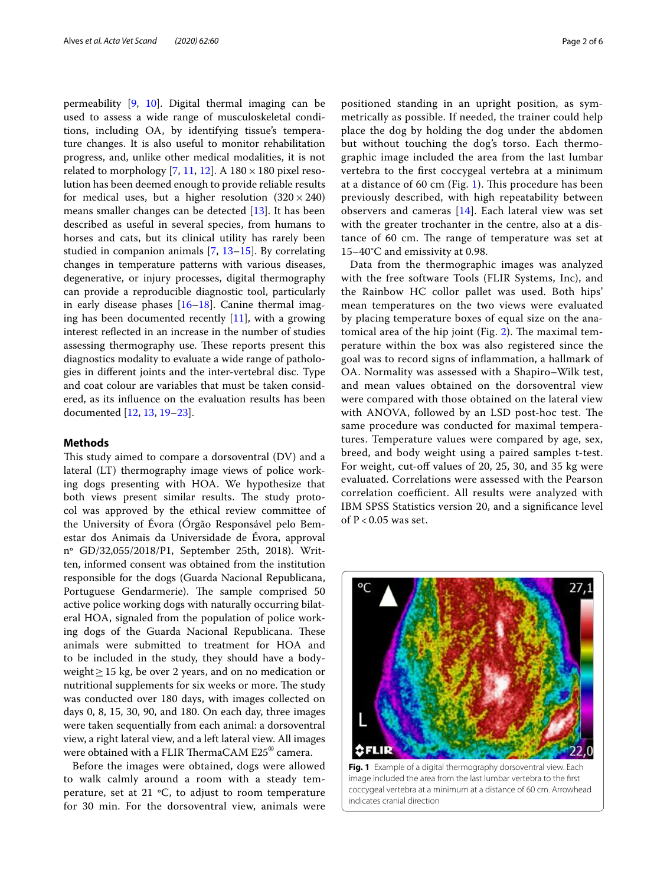permeability [\[9](#page-5-5), [10\]](#page-5-6). Digital thermal imaging can be used to assess a wide range of musculoskeletal conditions, including OA, by identifying tissue's temperature changes. It is also useful to monitor rehabilitation progress, and, unlike other medical modalities, it is not related to morphology [\[7,](#page-5-7) [11,](#page-5-8) [12](#page-5-9)]. A  $180 \times 180$  pixel resolution has been deemed enough to provide reliable results for medical uses, but a higher resolution  $(320 \times 240)$ means smaller changes can be detected [\[13](#page-5-10)]. It has been described as useful in several species, from humans to horses and cats, but its clinical utility has rarely been studied in companion animals  $[7, 13-15]$  $[7, 13-15]$  $[7, 13-15]$  $[7, 13-15]$ . By correlating changes in temperature patterns with various diseases, degenerative, or injury processes, digital thermography can provide a reproducible diagnostic tool, particularly in early disease phases  $[16–18]$  $[16–18]$  $[16–18]$  $[16–18]$ . Canine thermal imaging has been documented recently [\[11](#page-5-8)], with a growing interest refected in an increase in the number of studies assessing thermography use. These reports present this diagnostics modality to evaluate a wide range of pathologies in diferent joints and the inter-vertebral disc. Type and coat colour are variables that must be taken considered, as its infuence on the evaluation results has been documented [[12,](#page-5-9) [13,](#page-5-10) [19](#page-5-14)[–23](#page-5-15)].

## **Methods**

This study aimed to compare a dorsoventral (DV) and a lateral (LT) thermography image views of police working dogs presenting with HOA. We hypothesize that both views present similar results. The study protocol was approved by the ethical review committee of the University of Évora (Órgão Responsável pelo Bemestar dos Animais da Universidade de Évora, approval nº GD/32,055/2018/P1, September 25th, 2018). Written, informed consent was obtained from the institution responsible for the dogs (Guarda Nacional Republicana, Portuguese Gendarmerie). The sample comprised 50 active police working dogs with naturally occurring bilateral HOA, signaled from the population of police working dogs of the Guarda Nacional Republicana. These animals were submitted to treatment for HOA and to be included in the study, they should have a bodyweight≥15 kg, be over 2 years, and on no medication or nutritional supplements for six weeks or more. The study was conducted over 180 days, with images collected on days 0, 8, 15, 30, 90, and 180. On each day, three images were taken sequentially from each animal: a dorsoventral view, a right lateral view, and a left lateral view. All images were obtained with a FLIR ThermaCAM  $\mathrm{E25}^{\circledast}$  camera.

Before the images were obtained, dogs were allowed to walk calmly around a room with a steady temperature, set at 21 ºC, to adjust to room temperature for 30 min. For the dorsoventral view, animals were positioned standing in an upright position, as symmetrically as possible. If needed, the trainer could help place the dog by holding the dog under the abdomen but without touching the dog's torso. Each thermographic image included the area from the last lumbar vertebra to the frst coccygeal vertebra at a minimum at a distance of 60 cm (Fig. [1\)](#page-1-0). This procedure has been previously described, with high repeatability between observers and cameras [\[14](#page-5-16)]. Each lateral view was set with the greater trochanter in the centre, also at a distance of 60 cm. The range of temperature was set at 15–40°C and emissivity at 0.98.

Data from the thermographic images was analyzed with the free software Tools (FLIR Systems, Inc), and the Rainbow HC collor pallet was used. Both hips' mean temperatures on the two views were evaluated by placing temperature boxes of equal size on the anatomical area of the hip joint (Fig.  $2$ ). The maximal temperature within the box was also registered since the goal was to record signs of infammation, a hallmark of OA. Normality was assessed with a Shapiro–Wilk test, and mean values obtained on the dorsoventral view were compared with those obtained on the lateral view with ANOVA, followed by an LSD post-hoc test. The same procedure was conducted for maximal temperatures. Temperature values were compared by age, sex, breed, and body weight using a paired samples t-test. For weight, cut-off values of 20, 25, 30, and 35 kg were evaluated. Correlations were assessed with the Pearson correlation coefficient. All results were analyzed with IBM SPSS Statistics version 20, and a signifcance level of  $P < 0.05$  was set.



<span id="page-1-0"></span>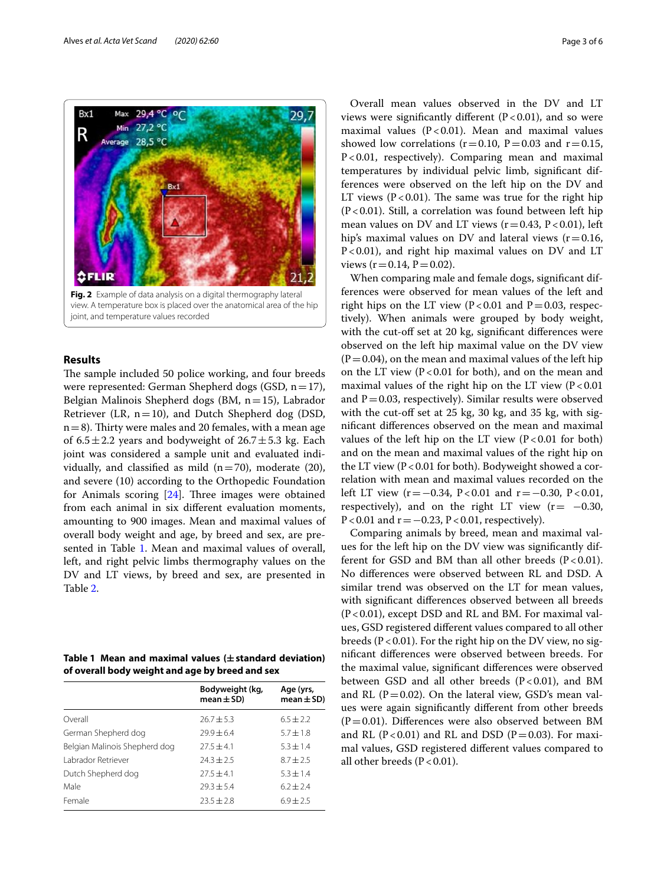

## <span id="page-2-0"></span>**Results**

The sample included 50 police working, and four breeds were represented: German Shepherd dogs (GSD,  $n=17$ ), Belgian Malinois Shepherd dogs (BM, n=15), Labrador Retriever (LR,  $n=10$ ), and Dutch Shepherd dog (DSD,  $n=8$ ). Thirty were males and 20 females, with a mean age of  $6.5 \pm 2.2$  years and bodyweight of  $26.7 \pm 5.3$  kg. Each joint was considered a sample unit and evaluated individually, and classified as mild  $(n=70)$ , moderate (20), and severe (10) according to the Orthopedic Foundation for Animals scoring  $[24]$  $[24]$ . Three images were obtained from each animal in six diferent evaluation moments, amounting to 900 images. Mean and maximal values of overall body weight and age, by breed and sex, are pre-sented in Table [1](#page-2-1). Mean and maximal values of overall, left, and right pelvic limbs thermography values on the DV and LT views, by breed and sex, are presented in Table [2](#page-3-0).

<span id="page-2-1"></span>

|  |  | Table 1 Mean and maximal values ( $\pm$ standard deviation) |  |
|--|--|-------------------------------------------------------------|--|
|  |  | of overall body weight and age by breed and sex             |  |

|                               | Bodyweight (kg,<br>$mean \pm SD$ | Age (yrs,<br>$mean \pm SD$ |
|-------------------------------|----------------------------------|----------------------------|
| Overall                       | $76.7 + 5.3$                     | $6.5 + 2.2$                |
| German Shepherd dog           | $79.9 + 6.4$                     | $5.7 + 1.8$                |
| Belgian Malinois Shepherd dog | $27.5 + 4.1$                     | $5.3 + 1.4$                |
| Labrador Retriever            | $74.3 + 7.5$                     | $8.7 + 2.5$                |
| Dutch Shepherd dog            | $27.5 + 4.1$                     | $5.3 + 1.4$                |
| Male                          | $79.3 + 5.4$                     | $6.2 + 2.4$                |
| Female                        | $23.5 + 2.8$                     | $6.9 + 2.5$                |

Overall mean values observed in the DV and LT views were significantly different  $(P<0.01)$ , and so were maximal values  $(P < 0.01)$ . Mean and maximal values showed low correlations ( $r=0.10$ ,  $P=0.03$  and  $r=0.15$ , P<0.01, respectively). Comparing mean and maximal temperatures by individual pelvic limb, signifcant differences were observed on the left hip on the DV and LT views  $(P < 0.01)$ . The same was true for the right hip  $(P<0.01)$ . Still, a correlation was found between left hip mean values on DV and LT views ( $r=0.43$ ,  $P<0.01$ ), left hip's maximal values on DV and lateral views  $(r=0.16,$ P<0.01), and right hip maximal values on DV and LT views ( $r = 0.14$ ,  $P = 0.02$ ).

When comparing male and female dogs, signifcant differences were observed for mean values of the left and right hips on the LT view (P<0.01 and P=0.03, respectively). When animals were grouped by body weight, with the cut-off set at 20 kg, significant differences were observed on the left hip maximal value on the DV view  $(P=0.04)$ , on the mean and maximal values of the left hip on the LT view ( $P < 0.01$  for both), and on the mean and maximal values of the right hip on the LT view  $(P<0.01$ and  $P = 0.03$ , respectively). Similar results were observed with the cut-off set at 25 kg, 30 kg, and 35 kg, with signifcant diferences observed on the mean and maximal values of the left hip on the LT view  $(P < 0.01$  for both) and on the mean and maximal values of the right hip on the LT view ( $P < 0.01$  for both). Bodyweight showed a correlation with mean and maximal values recorded on the left LT view (r = −0.34, P < 0.01 and r = −0.30, P < 0.01, respectively), and on the right LT view  $(r=-0.30,$ P<0.01 and  $r = -0.23$ , P<0.01, respectively).

Comparing animals by breed, mean and maximal values for the left hip on the DV view was signifcantly different for GSD and BM than all other breeds  $(P < 0.01)$ . No diferences were observed between RL and DSD. A similar trend was observed on the LT for mean values, with signifcant diferences observed between all breeds  $(P<0.01)$ , except DSD and RL and BM. For maximal values, GSD registered diferent values compared to all other breeds ( $P < 0.01$ ). For the right hip on the DV view, no signifcant diferences were observed between breeds. For the maximal value, signifcant diferences were observed between GSD and all other breeds  $(P<0.01)$ , and BM and RL ( $P=0.02$ ). On the lateral view, GSD's mean values were again signifcantly diferent from other breeds  $(P=0.01)$ . Differences were also observed between BM and RL ( $P < 0.01$ ) and RL and DSD ( $P = 0.03$ ). For maximal values, GSD registered diferent values compared to all other breeds ( $P < 0.01$ ).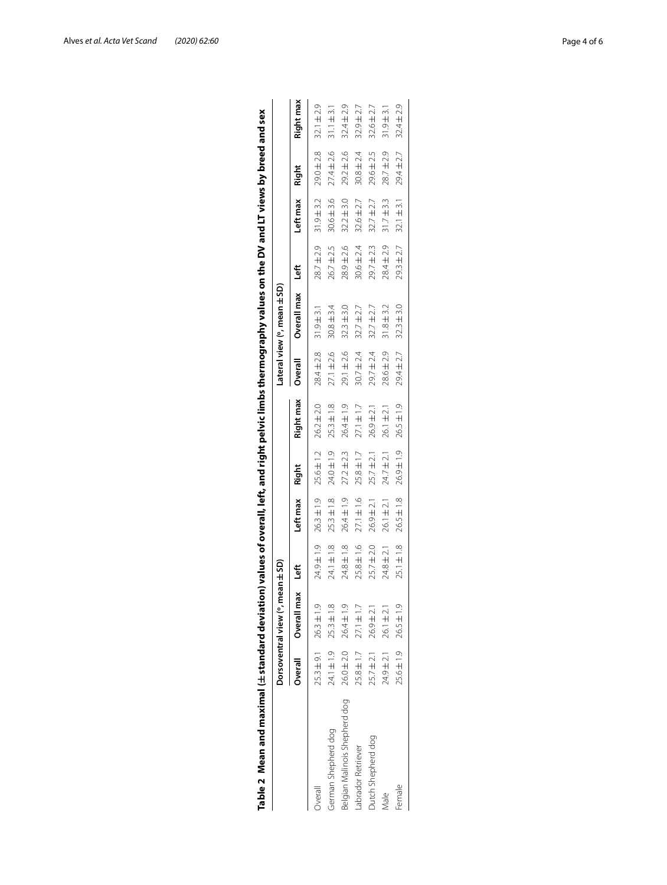| Table 2 Mean and maximal ( $\pm$ standard deviation) values of overall, left, and right pelvic limbs thermography values on the DV and LT views by breed and sex |                |                                  |                |                |                |                |                |                           |                |                |                |                |
|------------------------------------------------------------------------------------------------------------------------------------------------------------------|----------------|----------------------------------|----------------|----------------|----------------|----------------|----------------|---------------------------|----------------|----------------|----------------|----------------|
|                                                                                                                                                                  |                | Dorsoventral view (°, mean ± SD) |                |                |                |                |                | Lateral view (°, mean±SD) |                |                |                |                |
|                                                                                                                                                                  | Overall        | Overall max                      | Left           | Left max       | Right          | Right max      | Overall        | Overall max               | Left           | Left max       | Right          | Right max      |
| Overall                                                                                                                                                          |                | $25.3 \pm 9.1$ $26.3 \pm 1.9$    | 24.9±1.9       | $26.3 \pm 1.9$ | $25.6 \pm 1.2$ | $26.2 \pm 2.0$ | $28.4 \pm 2.8$ | $31.9 \pm 3.1$            | 28.7±2.9       | $31.9 + 3.2$   | $29.0 \pm 2.8$ | $32.1 \pm 2.9$ |
| German Shepherd dog                                                                                                                                              | 24.1±1.9       | $25.3 \pm 1.8$                   | $24.1 \pm 1.8$ | $25.3 \pm 1.8$ | $24.0 \pm 1.9$ | $25.3 \pm 1.8$ | $27.1 \pm 2.6$ | $30.8 \pm 3.4$            | $26.7 \pm 2.5$ | $30.6 \pm 3.6$ | $27.4 \pm 2.6$ | $31.1 \pm 3.1$ |
| Belgian Malinois Shepherd dog                                                                                                                                    | 26.0±2.0       | 26.4±1.9                         | 24.8 ± 1.8     | $26.4 \pm 1.9$ | $27.2 \pm 2.3$ | $26.4 \pm 1.9$ | 29.1 ± 2.6     | $32.3 \pm 3.0$            | $28.9 \pm 2.6$ | $32.2 \pm 3.0$ | $29.2 \pm 2.6$ | $32.4 \pm 2.9$ |
| abrador Retriever                                                                                                                                                | $25.8 \pm 1.7$ | $27.1 \pm 1.7$                   | 25.8±1.6       | $27.1 \pm 1.6$ | $25.8 \pm 1.7$ | $27.1 \pm 1.7$ | $30.7 \pm 2.4$ | $32.7 \pm 2.7$            | $30.6 \pm 2.4$ | $32.6 \pm 2.7$ | $30.8 \pm 2.4$ | $32.9 + 2.7$   |
| Dutch Shepherd dog                                                                                                                                               | $25.7 \pm 2.1$ | $26.9 \pm 2.1$                   | $25.7 \pm 2.0$ | $26.9 \pm 2.1$ | $25.7 \pm 2.1$ | $26.9 \pm 2.1$ | 29.7±2.4       | $32.7 \pm 2.7$            | $29.7 \pm 2.3$ | $32.7 \pm 2.7$ | 29.6±2.5       | $32.6 \pm 2.7$ |
| vlale                                                                                                                                                            | $24.9 \pm 2.1$ | $26.1 \pm 2.1$                   | 24.8±2.1       | $26.1 \pm 2.1$ | $24.7 \pm 2.1$ | $26.1 \pm 2.1$ | 28.6±2.9       | $31.8 + 3.2$              | 28.4±2.9       | $31.7 + 3.3$   | 28.7±2.9       | $31.9 \pm 3.1$ |
| Female                                                                                                                                                           | 25.6±1.9       | $26.5 \pm 1.9$                   | $25.1 \pm 1.8$ | $26.5 \pm 1.8$ | 26.9±1.9       | $26.5 \pm 1.9$ | $29.4 \pm 2.7$ | $32.3 \pm 3.0$            | $29.3 \pm 2.7$ | $32.1 \pm 3.1$ | $29.4 \pm 2.7$ | $32.4 \pm 2.9$ |
|                                                                                                                                                                  |                |                                  |                |                |                |                |                |                           |                |                |                |                |

<span id="page-3-0"></span>

| ֚֬֕                                                                                     |  |
|-----------------------------------------------------------------------------------------|--|
|                                                                                         |  |
|                                                                                         |  |
|                                                                                         |  |
| Wand LT views b                                                                         |  |
|                                                                                         |  |
|                                                                                         |  |
|                                                                                         |  |
|                                                                                         |  |
|                                                                                         |  |
| i                                                                                       |  |
|                                                                                         |  |
|                                                                                         |  |
|                                                                                         |  |
|                                                                                         |  |
|                                                                                         |  |
| I                                                                                       |  |
| j                                                                                       |  |
| :                                                                                       |  |
|                                                                                         |  |
| å                                                                                       |  |
|                                                                                         |  |
| i<br>Lies                                                                               |  |
|                                                                                         |  |
|                                                                                         |  |
| i                                                                                       |  |
| j                                                                                       |  |
|                                                                                         |  |
|                                                                                         |  |
|                                                                                         |  |
|                                                                                         |  |
| i<br>1                                                                                  |  |
|                                                                                         |  |
| .<br>Elimination                                                                        |  |
| j                                                                                       |  |
|                                                                                         |  |
| $\frac{1}{2}$                                                                           |  |
|                                                                                         |  |
|                                                                                         |  |
|                                                                                         |  |
|                                                                                         |  |
| İ                                                                                       |  |
|                                                                                         |  |
|                                                                                         |  |
| i<br>Santa Caracasa<br>Santa Caracasa                                                   |  |
|                                                                                         |  |
|                                                                                         |  |
|                                                                                         |  |
|                                                                                         |  |
| ֖֖֖֖֚֚֚֚֚֚֚֚֚֚֚֚֚֚֚֡֝֝<br>֧֚֚֚֝                                                         |  |
| i<br>֡֬֝֬֝֬֝֬֝֬֝֬֝֬֝֬                                                                   |  |
|                                                                                         |  |
| Į                                                                                       |  |
| ana<br>i                                                                                |  |
|                                                                                         |  |
|                                                                                         |  |
|                                                                                         |  |
| ŧ                                                                                       |  |
| ≓                                                                                       |  |
|                                                                                         |  |
| ĺ                                                                                       |  |
|                                                                                         |  |
| ֧֖֧֧֧֪֧֧֧֧֧֝֩֕֓֝֬֝֝֬֝֬֝֬֝֬֩֓ <b>֓</b><br>֧׆֛֕<br>5                                      |  |
|                                                                                         |  |
|                                                                                         |  |
|                                                                                         |  |
|                                                                                         |  |
|                                                                                         |  |
| $\frac{1}{2}$                                                                           |  |
|                                                                                         |  |
| Í                                                                                       |  |
|                                                                                         |  |
|                                                                                         |  |
|                                                                                         |  |
|                                                                                         |  |
| i<br>Sidney and                                                                         |  |
|                                                                                         |  |
|                                                                                         |  |
| <u>ard</u>                                                                              |  |
| ֪֚֚֬֝֬֝֬֝֬֝֬֝֬<br>֧֧֧֧֧֧ׅ֧֧֧֧֢֛֛֛֛֛֚֚֚֚֚֚֚֚֚֚֚֚֚֚֚֚֚֚֚֚֚֚֚֚֚֚֚֚֚֚֚֚֚֚֡֝֓֝֓֝֓֜֝֓֝֓֜<br>ч |  |
| j                                                                                       |  |
|                                                                                         |  |
|                                                                                         |  |
|                                                                                         |  |
|                                                                                         |  |
|                                                                                         |  |
|                                                                                         |  |
| í                                                                                       |  |
|                                                                                         |  |
|                                                                                         |  |
|                                                                                         |  |
|                                                                                         |  |
| ixe ma<br>j                                                                             |  |
| í                                                                                       |  |
| ŕ                                                                                       |  |
|                                                                                         |  |
|                                                                                         |  |
|                                                                                         |  |
| Mea <sub>l</sub>                                                                        |  |
| ı                                                                                       |  |
| ľ                                                                                       |  |
| able                                                                                    |  |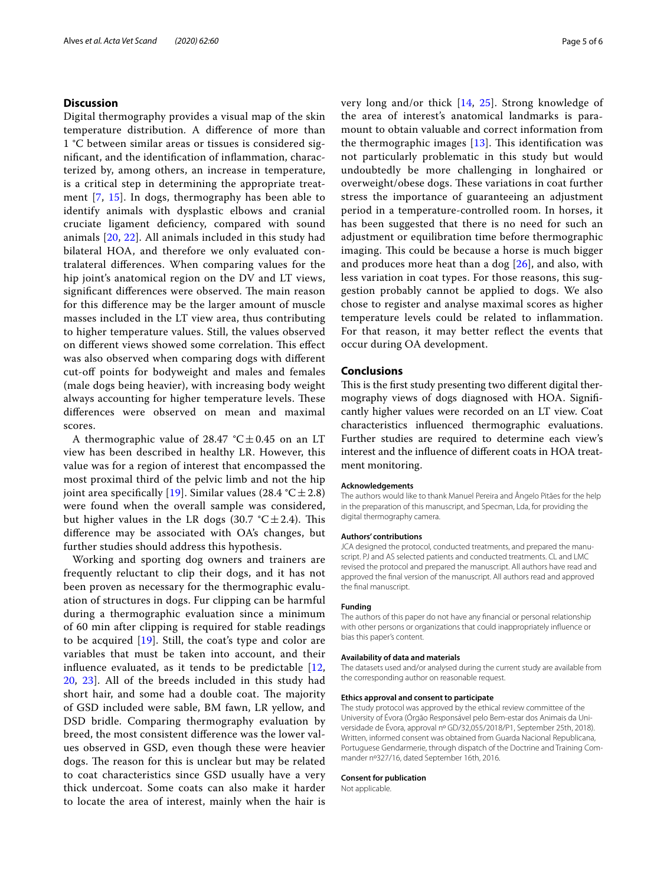## **Discussion**

Digital thermography provides a visual map of the skin temperature distribution. A diference of more than 1 °C between similar areas or tissues is considered signifcant, and the identifcation of infammation, characterized by, among others, an increase in temperature, is a critical step in determining the appropriate treatment [[7,](#page-5-7) [15](#page-5-11)]. In dogs, thermography has been able to identify animals with dysplastic elbows and cranial cruciate ligament defciency, compared with sound animals [\[20,](#page-5-18) [22\]](#page-5-19). All animals included in this study had bilateral HOA, and therefore we only evaluated contralateral diferences. When comparing values for the hip joint's anatomical region on the DV and LT views, significant differences were observed. The main reason for this diference may be the larger amount of muscle masses included in the LT view area, thus contributing to higher temperature values. Still, the values observed on different views showed some correlation. This effect was also observed when comparing dogs with diferent cut-of points for bodyweight and males and females (male dogs being heavier), with increasing body weight always accounting for higher temperature levels. These diferences were observed on mean and maximal scores.

A thermographic value of 28.47  $°C \pm 0.45$  on an LT view has been described in healthy LR. However, this value was for a region of interest that encompassed the most proximal third of the pelvic limb and not the hip joint area specifically [\[19](#page-5-14)]. Similar values (28.4 °C  $\pm$  2.8) were found when the overall sample was considered, but higher values in the LR dogs (30.7  $°C = 2.4$ ). This diference may be associated with OA's changes, but further studies should address this hypothesis.

Working and sporting dog owners and trainers are frequently reluctant to clip their dogs, and it has not been proven as necessary for the thermographic evaluation of structures in dogs. Fur clipping can be harmful during a thermographic evaluation since a minimum of 60 min after clipping is required for stable readings to be acquired [[19\]](#page-5-14). Still, the coat's type and color are variables that must be taken into account, and their infuence evaluated, as it tends to be predictable [\[12](#page-5-9), [20,](#page-5-18) [23\]](#page-5-15). All of the breeds included in this study had short hair, and some had a double coat. The majority of GSD included were sable, BM fawn, LR yellow, and DSD bridle. Comparing thermography evaluation by breed, the most consistent diference was the lower values observed in GSD, even though these were heavier dogs. The reason for this is unclear but may be related to coat characteristics since GSD usually have a very thick undercoat. Some coats can also make it harder to locate the area of interest, mainly when the hair is very long and/or thick [\[14,](#page-5-16) [25](#page-5-20)]. Strong knowledge of the area of interest's anatomical landmarks is paramount to obtain valuable and correct information from the thermographic images  $[13]$  $[13]$ . This identification was not particularly problematic in this study but would undoubtedly be more challenging in longhaired or overweight/obese dogs. These variations in coat further stress the importance of guaranteeing an adjustment period in a temperature-controlled room. In horses, it has been suggested that there is no need for such an adjustment or equilibration time before thermographic imaging. This could be because a horse is much bigger and produces more heat than a dog  $[26]$  $[26]$ , and also, with less variation in coat types. For those reasons, this suggestion probably cannot be applied to dogs. We also chose to register and analyse maximal scores as higher temperature levels could be related to infammation. For that reason, it may better reflect the events that occur during OA development.

## **Conclusions**

This is the first study presenting two different digital thermography views of dogs diagnosed with HOA. Signifcantly higher values were recorded on an LT view. Coat characteristics infuenced thermographic evaluations. Further studies are required to determine each view's interest and the infuence of diferent coats in HOA treatment monitoring.

#### **Acknowledgements**

The authors would like to thank Manuel Pereira and Ângelo Pitães for the help in the preparation of this manuscript, and Specman, Lda, for providing the digital thermography camera.

#### **Authors' contributions**

JCA designed the protocol, conducted treatments, and prepared the manuscript. PJ and AS selected patients and conducted treatments. CL and LMC revised the protocol and prepared the manuscript. All authors have read and approved the fnal version of the manuscript. All authors read and approved the fnal manuscript.

#### **Funding**

The authors of this paper do not have any fnancial or personal relationship with other persons or organizations that could inappropriately infuence or bias this paper's content.

#### **Availability of data and materials**

The datasets used and/or analysed during the current study are available from the corresponding author on reasonable request.

#### **Ethics approval and consent to participate**

The study protocol was approved by the ethical review committee of the University of Évora (Órgão Responsável pelo Bem-estar dos Animais da Universidade de Évora, approval nº GD/32,055/2018/P1, September 25th, 2018). Written, informed consent was obtained from Guarda Nacional Republicana, Portuguese Gendarmerie, through dispatch of the Doctrine and Training Commander nº327/16, dated September 16th, 2016.

#### **Consent for publication**

Not applicable.